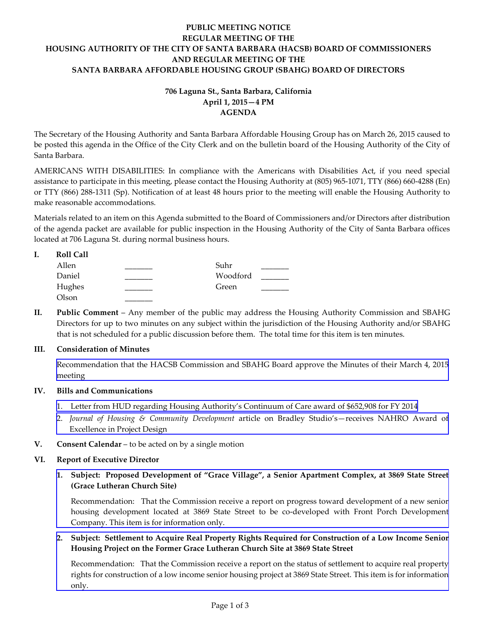# **PUBLIC MEETING NOTICE REGULAR MEETING OF THE HOUSING AUTHORITY OF THE CITY OF SANTA BARBARA (HACSB) BOARD OF COMMISSIONERS AND REGULAR MEETING OF THE SANTA BARBARA AFFORDABLE HOUSING GROUP (SBAHG) BOARD OF DIRECTORS**

# **706 Laguna St., Santa Barbara, California April 1, 2015—4 PM AGENDA**

The Secretary of the Housing Authority and Santa Barbara Affordable Housing Group has on March 26, 2015 caused to be posted this agenda in the Office of the City Clerk and on the bulletin board of the Housing Authority of the City of Santa Barbara.

AMERICANS WITH DISABILITIES: In compliance with the Americans with Disabilities Act, if you need special assistance to participate in this meeting, please contact the Housing Authority at (805) 965-1071, TTY (866) 660-4288 (En) or TTY (866) 288-1311 (Sp). Notification of at least 48 hours prior to the meeting will enable the Housing Authority to make reasonable accommodations.

Materials related to an item on this Agenda submitted to the Board of Commissioners and/or Directors after distribution of the agenda packet are available for public inspection in the Housing Authority of the City of Santa Barbara offices located at 706 Laguna St. during normal business hours.

# **I. Roll Call** Allen \_\_\_\_\_\_\_\_\_\_ Suhr \_\_\_\_\_\_\_

| .      | -----    |  |
|--------|----------|--|
| Daniel | Woodford |  |
| Hughes | Green    |  |
| Olson  |          |  |

**II. Public Comment** – Any member of the public may address the Housing Authority Commission and SBAHG Directors for up to two minutes on any subject within the jurisdiction of the Housing Authority and/or SBAHG that is not scheduled for a public discussion before them. The total time for this item is ten minutes.

# **III. Consideration of Minutes**

[Recommendation that the HACSB Commission and SBAHG Board approve the Minutes of their March](http://hacsb.org/download/meetings-2015/items/04_april/item_III_I_2015_04_01.pdf) 4, 2015 meeting

# **IV. Bills and Communications**

- [1. Letter from HUD regarding Housing Authority's Continuum of Care award of \\$652,908 for FY 2014](http://hacsb.org/download/meetings-2015/items/04_april/item_IV_I_2015_04_01.pdf)
- 2. *Journal of Housing & Community Development* [article on Bradley Studio's—receives NAHRO Award of](http://hacsb.org/download/meetings-2015/items/04_april/item_IV_II_2015_04_01.pdf)  Excellence in Project Design
- **V. Consent Calendar** to be acted on by a single motion

# **VI. Report of Executive Director**

**1. Subject: Proposed Development of "Grace Village", a Senior Apartment Complex, at 3869 State Street (Grace Lutheran Church Site)**

[Recommendation: That the Commission receive a report on progress toward development of a new senior](http://hacsb.org/download/meetings-2015/items/04_april/item_VI_I_2015_04_01.pdf)  housing development located at 3869 State Street to be co-developed with Front Porch Development Company. This item is for information only.

**2. Subject: Settlement to Acquire Real Property Rights Required for Construction of a Low Income Senior Housing Project on the Former Grace Lutheran Church Site at 3869 State Street**

[Recommendation: That the Commission receive a report on the status of settlement to acquire real property](http://hacsb.org/download/meetings-2015/items/04_april/item_VI_II_2015_04_01.pdf)  rights for construction of a low income senior housing project at 3869 State Street. This item is for information only.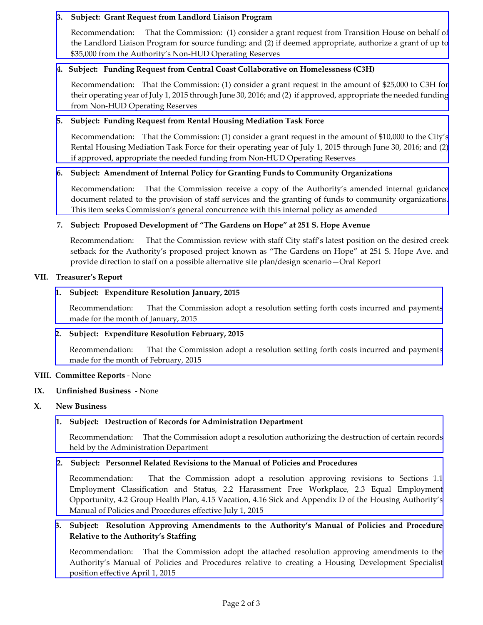## **3. Subject: Grant Request from Landlord Liaison Program**

Recommendation:That the Commission: (1) consider a grant request from Transition House on behalf of the Landlord Liaison Program for source funding; and (2) if deemed appropriate, authorize a grant of up to [\\$35,000 from the Authority's Non-HUD Operating Reserves](http://hacsb.org/download/meetings-2015/items/04_april/item_VI_III_2015_04_01.pdf)

# **4. Subject: Funding Request from Central Coast Collaborative on Homelessness (C3H)**

[Recommendation: That the Commission: \(1\) consider a grant request in the amount of \\$25,000 to C3H for](http://hacsb.org/download/meetings-2015/items/04_april/item_VI_IV_2015_04_01.pdf)  their operating year of July 1, 2015 through June 30, 2016; and (2) if approved, appropriate the needed funding from Non-HUD Operating Reserves

## **5. Subject: Funding Request from Rental Housing Mediation Task Force**

Recommendation: That the Commission: (1) consider a grant request in the amount of \$10,000 to the City's [Rental Housing Mediation Task Force for their operating year of July 1, 2015 through June 30, 2016; and](http://hacsb.org/download/meetings-2015/items/04_april/item_VI_V_2015_04_01.pdf) (2) if approved, appropriate the needed funding from Non-HUD Operating Reserves

#### **6. Subject: Amendment of Internal Policy for Granting Funds to Community Organizations**

Recommendation: That the Commission receive a copy of the Authority's amended internal guidance [document related to the provision of staff services and the granting of funds to community organizations.](http://hacsb.org/download/meetings-2015/items/04_april/item_VI_VI_2015_04_01.pdf)  This item seeks Commission's general concurrence with this internal policy as amended

#### **7. Subject: Proposed Development of "The Gardens on Hope" at 251 S. Hope Avenue**

Recommendation: That the Commission review with staff City staff's latest position on the desired creek setback for the Authority's proposed project known as "The Gardens on Hope" at 251 S. Hope Ave. and provide direction to staff on a possible alternative site plan/design scenario—Oral Report

#### **VII. Treasurer's Report**

#### **1. Subject: Expenditure Resolution January, 2015**

[Recommendation: That the Commission adopt a resolution setting forth costs incurred and payments](http://hacsb.org/download/meetings-2015/items/04_april/item_VII_I_2015_04_01.pdf) made for the month of January, 2015

## **2. Subject: Expenditure Resolution February, 2015**

[Recommendation: That the Commission adopt a resolution setting forth costs incurred and payments](http://hacsb.org/download/meetings-2015/items/04_april/item_VII_II_2015_04_01.pdf) made for the month of February, 2015

#### **VIII. Committee Reports** - None

#### **IX. Unfinished Business** - None

#### **X. New Business**

#### **1. Subject: Destruction of Records for Administration Department**

[Recommendation: That the Commission adopt a resolution authorizing the destruction of certain records](http://hacsb.org/download/meetings-2015/items/04_april/item_X_I_2015_04_01.pdf)  held by the Administration Department

#### **2. Subject: Personnel Related Revisions to the Manual of Policies and Procedures**

[Recommendation: That the Commission adopt a resolution approving revisions to Sections 1.1](http://hacsb.org/download/meetings-2015/items/04_april/item_X_II_2015_04_01.pdf)  Employment Classification and Status, 2.2 Harassment Free Workplace, 2.3 Equal Employment Opportunity, 4.2 Group Health Plan, 4.15 Vacation, 4.16 Sick and Appendix D of the Housing Authority's Manual of Policies and Procedures effective July 1, 2015

# **[3. Subject: Resolution Approving Amendments to the Authority's Manual of Policies and Procedure](http://hacsb.org/download/meetings-2015/items/04_april/item_X_III_2015_04_01.pdf)  Relative to the Authority's Staffing**

Recommendation: That the Commission adopt the attached resolution approving amendments to the Authority's Manual of Policies and Procedures relative to creating a Housing Development Specialist position effective April 1, 2015